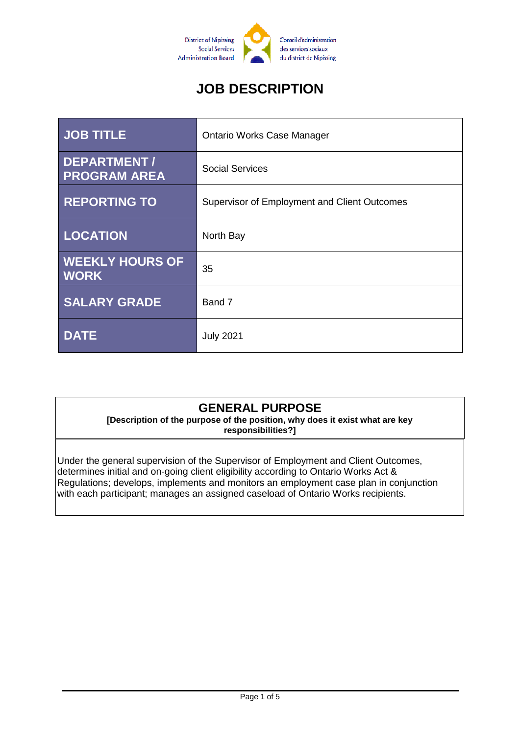

# **JOB DESCRIPTION**

| <b>JOB TITLE</b>                          | <b>Ontario Works Case Manager</b>            |
|-------------------------------------------|----------------------------------------------|
| <b>DEPARTMENT/</b><br><b>PROGRAM AREA</b> | <b>Social Services</b>                       |
| <b>REPORTING TO</b>                       | Supervisor of Employment and Client Outcomes |
| <b>LOCATION</b>                           | North Bay                                    |
| <b>WEEKLY HOURS OF</b><br><b>WORK</b>     | 35                                           |
| <b>SALARY GRADE</b>                       | Band 7                                       |
| <b>DATE</b>                               | <b>July 2021</b>                             |

## **GENERAL PURPOSE**

**[Description of the purpose of the position, why does it exist what are key responsibilities?]**

Under the general supervision of the Supervisor of Employment and Client Outcomes, determines initial and on-going client eligibility according to Ontario Works Act & Regulations; develops, implements and monitors an employment case plan in conjunction with each participant; manages an assigned caseload of Ontario Works recipients.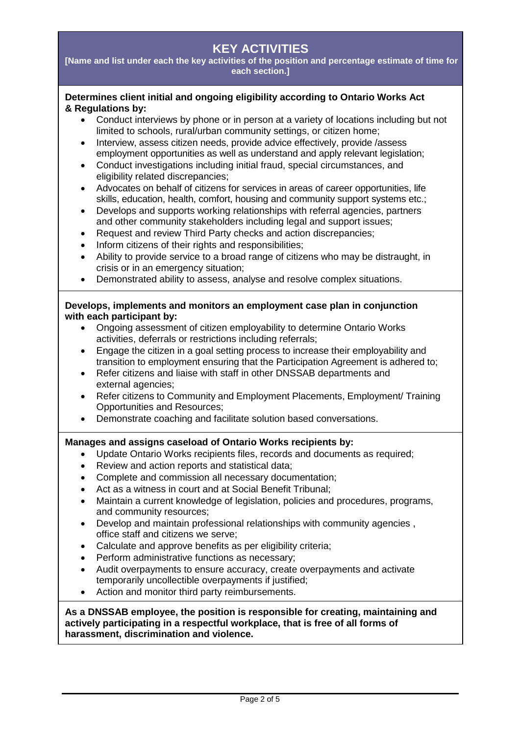## **KEY ACTIVITIES**

**[Name and list under each the key activities of the position and percentage estimate of time for each section.]**

#### **Determines client initial and ongoing eligibility according to Ontario Works Act & Regulations by:**

- Conduct interviews by phone or in person at a variety of locations including but not limited to schools, rural/urban community settings, or citizen home;
- Interview, assess citizen needs, provide advice effectively, provide /assess employment opportunities as well as understand and apply relevant legislation;
- Conduct investigations including initial fraud, special circumstances, and eligibility related discrepancies;
- Advocates on behalf of citizens for services in areas of career opportunities, life skills, education, health, comfort, housing and community support systems etc.;
- Develops and supports working relationships with referral agencies, partners and other community stakeholders including legal and support issues;
- Request and review Third Party checks and action discrepancies;
- Inform citizens of their rights and responsibilities;
- Ability to provide service to a broad range of citizens who may be distraught, in crisis or in an emergency situation;
- Demonstrated ability to assess, analyse and resolve complex situations.

#### **Develops, implements and monitors an employment case plan in conjunction with each participant by:**

- Ongoing assessment of citizen employability to determine Ontario Works activities, deferrals or restrictions including referrals;
- Engage the citizen in a goal setting process to increase their employability and transition to employment ensuring that the Participation Agreement is adhered to;
- Refer citizens and liaise with staff in other DNSSAB departments and external agencies;
- Refer citizens to Community and Employment Placements, Employment/ Training Opportunities and Resources;
- Demonstrate coaching and facilitate solution based conversations.

#### **Manages and assigns caseload of Ontario Works recipients by:**

- Update Ontario Works recipients files, records and documents as required;
- Review and action reports and statistical data;
- Complete and commission all necessary documentation;
- Act as a witness in court and at Social Benefit Tribunal;
- Maintain a current knowledge of legislation, policies and procedures, programs, and community resources;
- Develop and maintain professional relationships with community agencies , office staff and citizens we serve;
- Calculate and approve benefits as per eligibility criteria;
- Perform administrative functions as necessary;
- Audit overpayments to ensure accuracy, create overpayments and activate temporarily uncollectible overpayments if justified;
- Action and monitor third party reimbursements.

#### **As a DNSSAB employee, the position is responsible for creating, maintaining and actively participating in a respectful workplace, that is free of all forms of harassment, discrimination and violence.**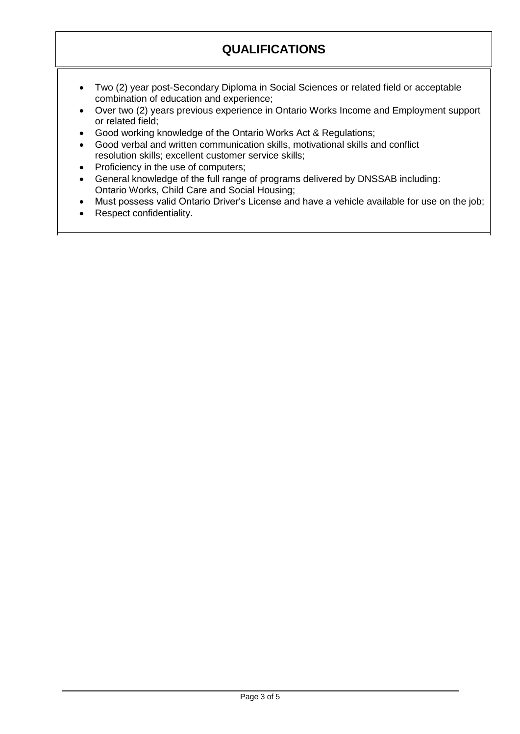## **QUALIFICATIONS**

- Two (2) year post-Secondary Diploma in Social Sciences or related field or acceptable combination of education and experience;
- Over two (2) years previous experience in Ontario Works Income and Employment support or related field;
- Good working knowledge of the Ontario Works Act & Regulations;
- Good verbal and written communication skills, motivational skills and conflict resolution skills; excellent customer service skills;
- Proficiency in the use of computers;
- General knowledge of the full range of programs delivered by DNSSAB including: Ontario Works, Child Care and Social Housing;
- Must possess valid Ontario Driver's License and have a vehicle available for use on the job;
- Respect confidentiality.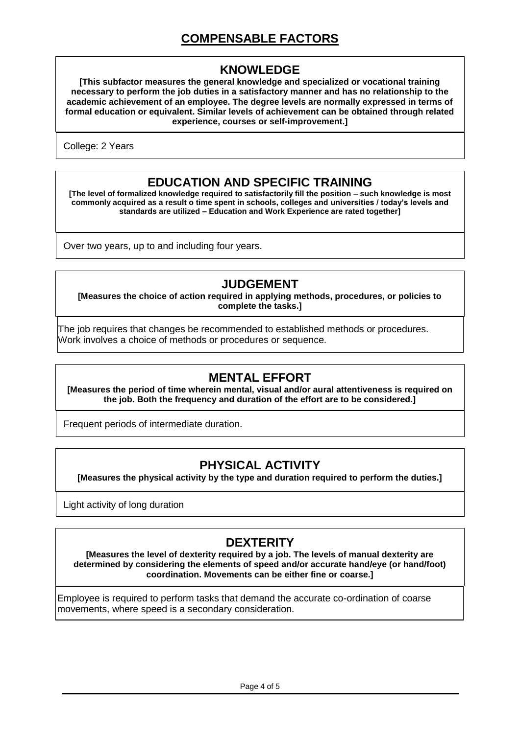## **COMPENSABLE FACTORS**

#### **KNOWLEDGE**

**[This subfactor measures the general knowledge and specialized or vocational training necessary to perform the job duties in a satisfactory manner and has no relationship to the academic achievement of an employee. The degree levels are normally expressed in terms of formal education or equivalent. Similar levels of achievement can be obtained through related experience, courses or self-improvement.]**

College: 2 Years

#### **EDUCATION AND SPECIFIC TRAINING**

**[The level of formalized knowledge required to satisfactorily fill the position – such knowledge is most commonly acquired as a result o time spent in schools, colleges and universities / today's levels and standards are utilized – Education and Work Experience are rated together]**

Over two years, up to and including four years.

#### **JUDGEMENT**

**[Measures the choice of action required in applying methods, procedures, or policies to complete the tasks.]**

The job requires that changes be recommended to established methods or procedures. Work involves a choice of methods or procedures or sequence.

### **MENTAL EFFORT**

**[Measures the period of time wherein mental, visual and/or aural attentiveness is required on the job. Both the frequency and duration of the effort are to be considered.]**

Frequent periods of intermediate duration.

### **PHYSICAL ACTIVITY**

**[Measures the physical activity by the type and duration required to perform the duties.]**

Light activity of long duration

### **DEXTERITY**

**[Measures the level of dexterity required by a job. The levels of manual dexterity are determined by considering the elements of speed and/or accurate hand/eye (or hand/foot) coordination. Movements can be either fine or coarse.]**

Employee is required to perform tasks that demand the accurate co-ordination of coarse movements, where speed is a secondary consideration.